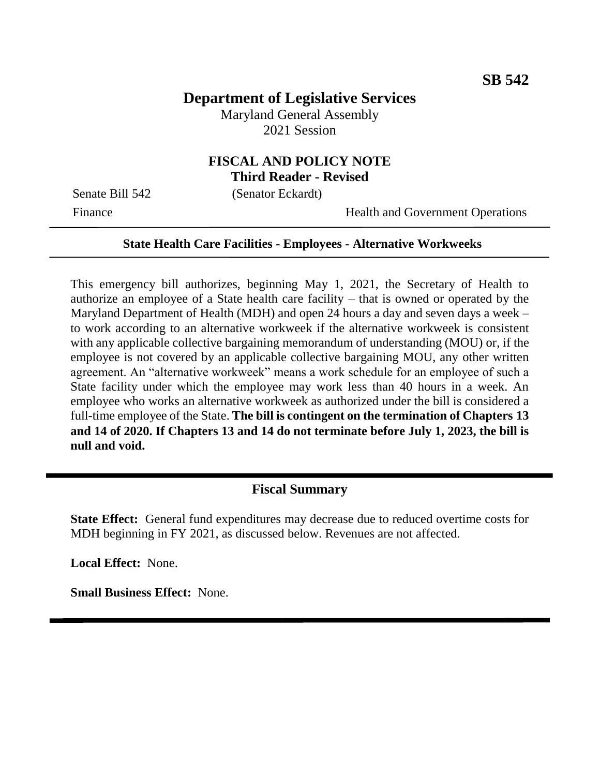# **Department of Legislative Services**

Maryland General Assembly 2021 Session

### **FISCAL AND POLICY NOTE Third Reader - Revised**

Senate Bill 542 (Senator Eckardt)

Finance Health and Government Operations

#### **State Health Care Facilities - Employees - Alternative Workweeks**

This emergency bill authorizes, beginning May 1, 2021, the Secretary of Health to authorize an employee of a State health care facility – that is owned or operated by the Maryland Department of Health (MDH) and open 24 hours a day and seven days a week – to work according to an alternative workweek if the alternative workweek is consistent with any applicable collective bargaining memorandum of understanding (MOU) or, if the employee is not covered by an applicable collective bargaining MOU, any other written agreement. An "alternative workweek" means a work schedule for an employee of such a State facility under which the employee may work less than 40 hours in a week. An employee who works an alternative workweek as authorized under the bill is considered a full-time employee of the State. **The bill is contingent on the termination of Chapters 13 and 14 of 2020. If Chapters 13 and 14 do not terminate before July 1, 2023, the bill is null and void.**

### **Fiscal Summary**

**State Effect:** General fund expenditures may decrease due to reduced overtime costs for MDH beginning in FY 2021, as discussed below. Revenues are not affected.

**Local Effect:** None.

**Small Business Effect:** None.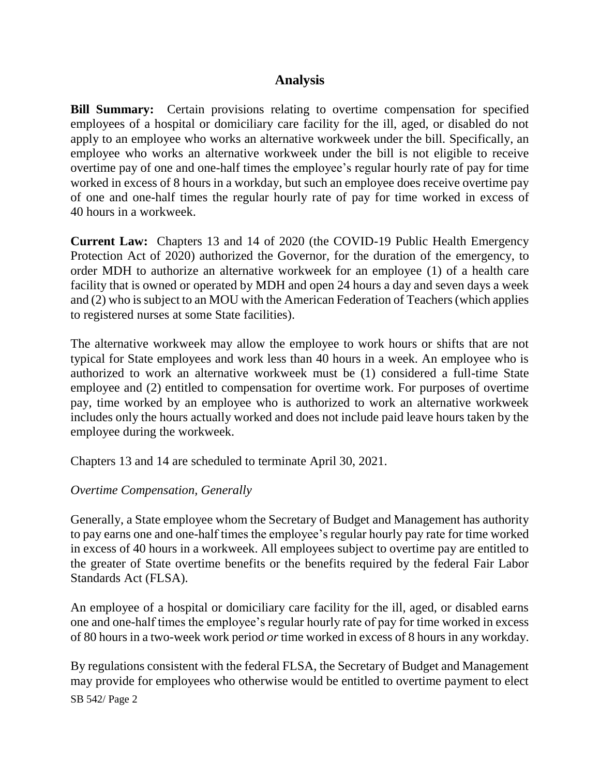# **Analysis**

**Bill Summary:** Certain provisions relating to overtime compensation for specified employees of a hospital or domiciliary care facility for the ill, aged, or disabled do not apply to an employee who works an alternative workweek under the bill. Specifically, an employee who works an alternative workweek under the bill is not eligible to receive overtime pay of one and one-half times the employee's regular hourly rate of pay for time worked in excess of 8 hours in a workday, but such an employee does receive overtime pay of one and one-half times the regular hourly rate of pay for time worked in excess of 40 hours in a workweek.

**Current Law:** Chapters 13 and 14 of 2020 (the COVID-19 Public Health Emergency Protection Act of 2020) authorized the Governor, for the duration of the emergency, to order MDH to authorize an alternative workweek for an employee (1) of a health care facility that is owned or operated by MDH and open 24 hours a day and seven days a week and (2) who is subject to an MOU with the American Federation of Teachers (which applies to registered nurses at some State facilities).

The alternative workweek may allow the employee to work hours or shifts that are not typical for State employees and work less than 40 hours in a week. An employee who is authorized to work an alternative workweek must be (1) considered a full-time State employee and (2) entitled to compensation for overtime work. For purposes of overtime pay, time worked by an employee who is authorized to work an alternative workweek includes only the hours actually worked and does not include paid leave hours taken by the employee during the workweek.

Chapters 13 and 14 are scheduled to terminate April 30, 2021.

### *Overtime Compensation, Generally*

Generally, a State employee whom the Secretary of Budget and Management has authority to pay earns one and one-half times the employee's regular hourly pay rate for time worked in excess of 40 hours in a workweek. All employees subject to overtime pay are entitled to the greater of State overtime benefits or the benefits required by the federal Fair Labor Standards Act (FLSA).

An employee of a hospital or domiciliary care facility for the ill, aged, or disabled earns one and one-half times the employee's regular hourly rate of pay for time worked in excess of 80 hours in a two-week work period *or* time worked in excess of 8 hours in any workday.

SB 542/ Page 2 By regulations consistent with the federal FLSA, the Secretary of Budget and Management may provide for employees who otherwise would be entitled to overtime payment to elect